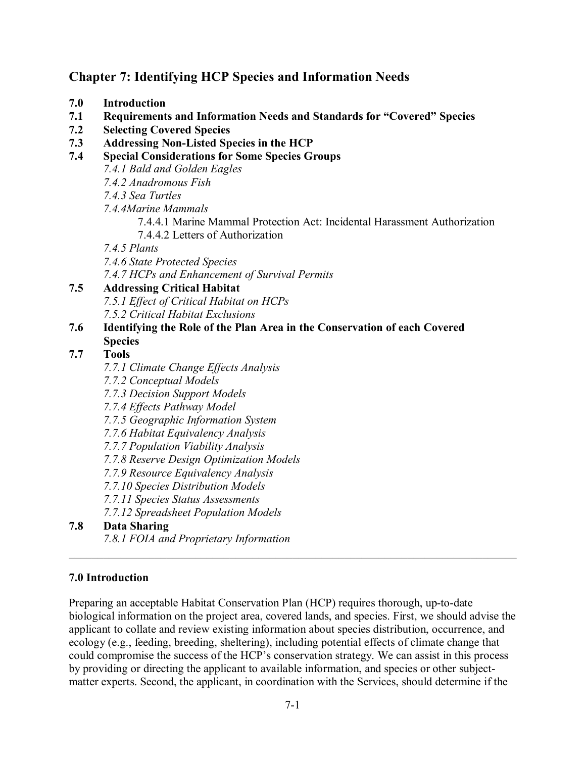# **Chapter 7: Identifying HCP Species and Information Needs**

- **7.0 Introduction**
- **7.1 Requirements and Information Needs and Standards for "Covered" Species**
- **7.2 Selecting Covered Species**
- **7.3 Addressing Non-Listed Species in the HCP**
- **7.4 Special Considerations for Some Species Groups**
	- *7.4.1 Bald and Golden Eagles*
	- *7.4.2 Anadromous Fish*
	- *7.4.3 Sea Turtles*
	- *7.4.4Marine Mammals*
		- 7.4.4.1 Marine Mammal Protection Act: Incidental Harassment Authorization
		- 7.4.4.2 Letters of Authorization

*7.4.5 Plants*

*7.4.6 State Protected Species*

*7.4.7 HCPs and Enhancement of Survival Permits*

# **7.5 Addressing Critical Habitat**

- *7.5.1 Effect of Critical Habitat on HCPs*
- *7.5.2 Critical Habitat Exclusions*

### **7.6 Identifying the Role of the Plan Area in the Conservation of each Covered Species**

# **7.7 Tools**

- *7.7.1 Climate Change Effects Analysis*
- *7.7.2 Conceptual Models*
- *7.7.3 Decision Support Models*

*7.7.4 Effects Pathway Model*

- *7.7.5 Geographic Information System*
- *7.7.6 Habitat Equivalency Analysis*
- *7.7.7 Population Viability Analysis*
- *7.7.8 Reserve Design Optimization Models*
- *7.7.9 Resource Equivalency Analysis*
- *7.7.10 Species Distribution Models*
- *7.7.11 Species Status Assessments*

*7.7.12 Spreadsheet Population Models*

### **7.8 Data Sharing**

*7.8.1 FOIA and Proprietary Information*

## **7.0 Introduction**

Preparing an acceptable Habitat Conservation Plan (HCP) requires thorough, up-to-date biological information on the project area, covered lands, and species. First, we should advise the applicant to collate and review existing information about species distribution, occurrence, and ecology (e.g., feeding, breeding, sheltering), including potential effects of climate change that could compromise the success of the HCP's conservation strategy. We can assist in this process by providing or directing the applicant to available information, and species or other subjectmatter experts. Second, the applicant, in coordination with the Services, should determine if the

\_\_\_\_\_\_\_\_\_\_\_\_\_\_\_\_\_\_\_\_\_\_\_\_\_\_\_\_\_\_\_\_\_\_\_\_\_\_\_\_\_\_\_\_\_\_\_\_\_\_\_\_\_\_\_\_\_\_\_\_\_\_\_\_\_\_\_\_\_\_\_\_\_\_\_\_\_\_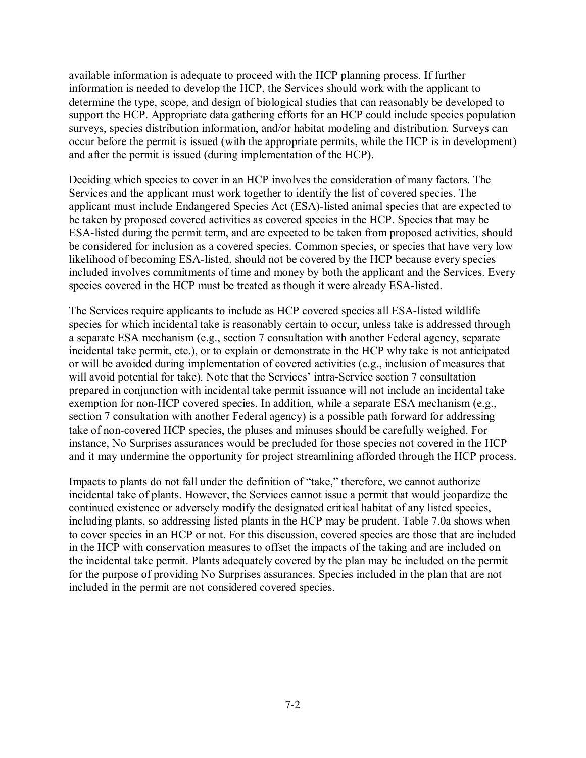available information is adequate to proceed with the HCP planning process. If further information is needed to develop the HCP, the Services should work with the applicant to determine the type, scope, and design of biological studies that can reasonably be developed to support the HCP. Appropriate data gathering efforts for an HCP could include species population surveys, species distribution information, and/or habitat modeling and distribution. Surveys can occur before the permit is issued (with the appropriate permits, while the HCP is in development) and after the permit is issued (during implementation of the HCP).

Deciding which species to cover in an HCP involves the consideration of many factors. The Services and the applicant must work together to identify the list of covered species. The applicant must include Endangered Species Act (ESA)-listed animal species that are expected to be taken by proposed covered activities as covered species in the HCP. Species that may be ESA-listed during the permit term, and are expected to be taken from proposed activities, should be considered for inclusion as a covered species. Common species, or species that have very low likelihood of becoming ESA-listed, should not be covered by the HCP because every species included involves commitments of time and money by both the applicant and the Services. Every species covered in the HCP must be treated as though it were already ESA-listed.

The Services require applicants to include as HCP covered species all ESA-listed wildlife species for which incidental take is reasonably certain to occur, unless take is addressed through a separate ESA mechanism (e.g., section 7 consultation with another Federal agency, separate incidental take permit, etc.), or to explain or demonstrate in the HCP why take is not anticipated or will be avoided during implementation of covered activities (e.g., inclusion of measures that will avoid potential for take). Note that the Services' intra-Service section 7 consultation prepared in conjunction with incidental take permit issuance will not include an incidental take exemption for non-HCP covered species. In addition, while a separate ESA mechanism (e.g., section 7 consultation with another Federal agency) is a possible path forward for addressing take of non-covered HCP species, the pluses and minuses should be carefully weighed. For instance, No Surprises assurances would be precluded for those species not covered in the HCP and it may undermine the opportunity for project streamlining afforded through the HCP process.

Impacts to plants do not fall under the definition of "take," therefore, we cannot authorize incidental take of plants. However, the Services cannot issue a permit that would jeopardize the continued existence or adversely modify the designated critical habitat of any listed species, including plants, so addressing listed plants in the HCP may be prudent. Table 7.0a shows when to cover species in an HCP or not. For this discussion, covered species are those that are included in the HCP with conservation measures to offset the impacts of the taking and are included on the incidental take permit. Plants adequately covered by the plan may be included on the permit for the purpose of providing No Surprises assurances. Species included in the plan that are not included in the permit are not considered covered species.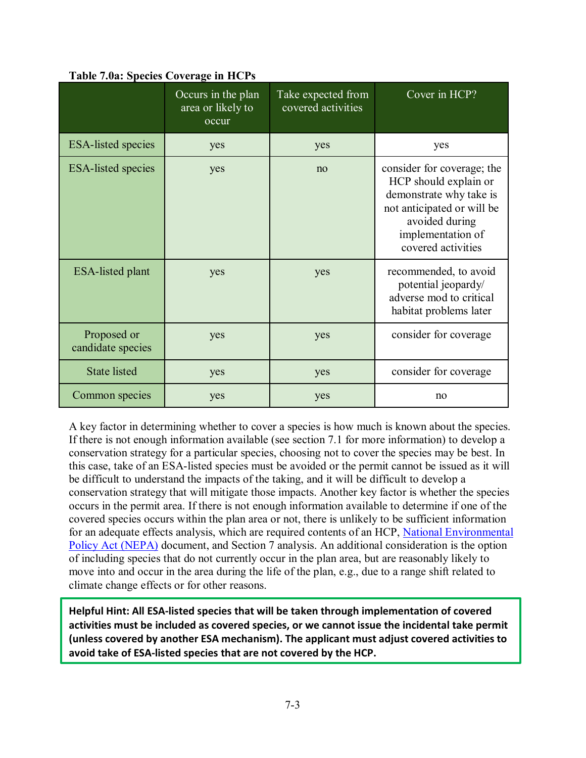|                                  | Occurs in the plan<br>area or likely to<br>occur | Take expected from<br>covered activities | Cover in HCP?                                                                                                                                                             |
|----------------------------------|--------------------------------------------------|------------------------------------------|---------------------------------------------------------------------------------------------------------------------------------------------------------------------------|
| <b>ESA-listed species</b>        | yes                                              | yes                                      | yes                                                                                                                                                                       |
| <b>ESA-listed species</b>        | yes                                              | no                                       | consider for coverage; the<br>HCP should explain or<br>demonstrate why take is<br>not anticipated or will be<br>avoided during<br>implementation of<br>covered activities |
| <b>ESA-listed plant</b>          | yes                                              | yes                                      | recommended, to avoid<br>potential jeopardy/<br>adverse mod to critical<br>habitat problems later                                                                         |
| Proposed or<br>candidate species | yes                                              | yes                                      | consider for coverage                                                                                                                                                     |
| <b>State listed</b>              | yes                                              | yes                                      | consider for coverage                                                                                                                                                     |
| Common species                   | yes                                              | yes                                      | no                                                                                                                                                                        |

**Table 7.0a: Species Coverage in HCPs**

A key factor in determining whether to cover a species is how much is known about the species. If there is not enough information available (see section 7.1 for more information) to develop a conservation strategy for a particular species, choosing not to cover the species may be best. In this case, take of an ESA-listed species must be avoided or the permit cannot be issued as it will be difficult to understand the impacts of the taking, and it will be difficult to develop a conservation strategy that will mitigate those impacts. Another key factor is whether the species occurs in the permit area. If there is not enough information available to determine if one of the covered species occurs within the plan area or not, there is unlikely to be sufficient information for an adequate effects analysis, which are required contents of an HCP, [National Environmental](https://ceq.doe.gov/index.html)  [Policy Act \(NEPA\)](https://ceq.doe.gov/index.html) document, and Section 7 analysis. An additional consideration is the option of including species that do not currently occur in the plan area, but are reasonably likely to move into and occur in the area during the life of the plan, e.g., due to a range shift related to climate change effects or for other reasons.

**Helpful Hint: All ESA-listed species that will be taken through implementation of covered activities must be included as covered species, or we cannot issue the incidental take permit (unless covered by another ESA mechanism). The applicant must adjust covered activities to avoid take of ESA-listed species that are not covered by the HCP.**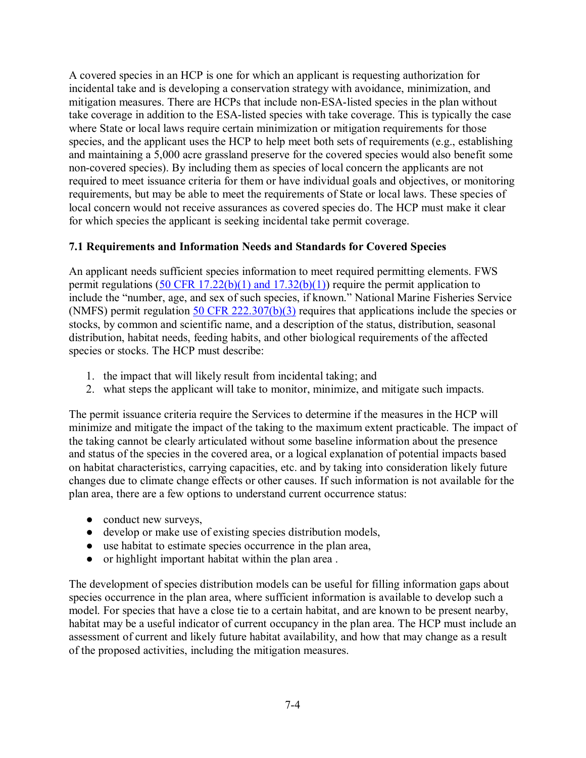A covered species in an HCP is one for which an applicant is requesting authorization for incidental take and is developing a conservation strategy with avoidance, minimization, and mitigation measures. There are HCPs that include non-ESA-listed species in the plan without take coverage in addition to the ESA-listed species with take coverage. This is typically the case where State or local laws require certain minimization or mitigation requirements for those species, and the applicant uses the HCP to help meet both sets of requirements (e.g., establishing and maintaining a 5,000 acre grassland preserve for the covered species would also benefit some non-covered species). By including them as species of local concern the applicants are not required to meet issuance criteria for them or have individual goals and objectives, or monitoring requirements, but may be able to meet the requirements of State or local laws. These species of local concern would not receive assurances as covered species do. The HCP must make it clear for which species the applicant is seeking incidental take permit coverage.

## **7.1 Requirements and Information Needs and Standards for Covered Species**

An applicant needs sufficient species information to meet required permitting elements. FWS permit regulations  $(50 \text{ CFR } 17.22(b)(1)$  and  $17.32(b)(1))$  require the permit application to include the "number, age, and sex of such species, if known." National Marine Fisheries Service (NMFS) permit regulation [50 CFR 222.307\(b\)\(3\)](https://www.govinfo.gov/app/details/CFR-2001-title50-vol2/CFR-2001-title50-vol2-part222) requires that applications include the species or stocks, by common and scientific name, and a description of the status, distribution, seasonal distribution, habitat needs, feeding habits, and other biological requirements of the affected species or stocks. The HCP must describe:

- 1. the impact that will likely result from incidental taking; and
- 2. what steps the applicant will take to monitor, minimize, and mitigate such impacts.

The permit issuance criteria require the Services to determine if the measures in the HCP will minimize and mitigate the impact of the taking to the maximum extent practicable. The impact of the taking cannot be clearly articulated without some baseline information about the presence and status of the species in the covered area, or a logical explanation of potential impacts based on habitat characteristics, carrying capacities, etc. and by taking into consideration likely future changes due to climate change effects or other causes. If such information is not available for the plan area, there are a few options to understand current occurrence status:

- conduct new surveys,
- develop or make use of existing species distribution models,
- use habitat to estimate species occurrence in the plan area,
- or highlight important habitat within the plan area .

The development of species distribution models can be useful for filling information gaps about species occurrence in the plan area, where sufficient information is available to develop such a model. For species that have a close tie to a certain habitat, and are known to be present nearby, habitat may be a useful indicator of current occupancy in the plan area. The HCP must include an assessment of current and likely future habitat availability, and how that may change as a result of the proposed activities, including the mitigation measures.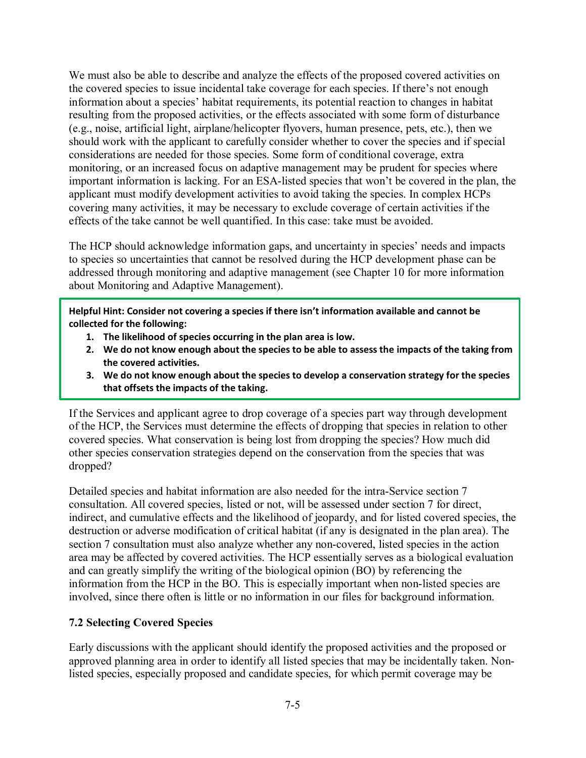We must also be able to describe and analyze the effects of the proposed covered activities on the covered species to issue incidental take coverage for each species. If there's not enough information about a species' habitat requirements, its potential reaction to changes in habitat resulting from the proposed activities, or the effects associated with some form of disturbance (e.g., noise, artificial light, airplane/helicopter flyovers, human presence, pets, etc.), then we should work with the applicant to carefully consider whether to cover the species and if special considerations are needed for those species. Some form of conditional coverage, extra monitoring, or an increased focus on adaptive management may be prudent for species where important information is lacking. For an ESA-listed species that won't be covered in the plan, the applicant must modify development activities to avoid taking the species. In complex HCPs covering many activities, it may be necessary to exclude coverage of certain activities if the effects of the take cannot be well quantified. In this case: take must be avoided.

The HCP should acknowledge information gaps, and uncertainty in species' needs and impacts to species so uncertainties that cannot be resolved during the HCP development phase can be addressed through monitoring and adaptive management (see Chapter 10 for more information about Monitoring and Adaptive Management).

**Helpful Hint: Consider not covering a species if there isn't information available and cannot be collected for the following:** 

- **1. The likelihood of species occurring in the plan area is low.**
- **2. We do not know enough about the species to be able to assess the impacts of the taking from the covered activities.**
- **3. We do not know enough about the species to develop a conservation strategy for the species that offsets the impacts of the taking.**

If the Services and applicant agree to drop coverage of a species part way through development of the HCP, the Services must determine the effects of dropping that species in relation to other covered species. What conservation is being lost from dropping the species? How much did other species conservation strategies depend on the conservation from the species that was dropped?

Detailed species and habitat information are also needed for the intra-Service section 7 consultation. All covered species, listed or not, will be assessed under section 7 for direct, indirect, and cumulative effects and the likelihood of jeopardy, and for listed covered species, the destruction or adverse modification of critical habitat (if any is designated in the plan area). The section 7 consultation must also analyze whether any non-covered, listed species in the action area may be affected by covered activities. The HCP essentially serves as a biological evaluation and can greatly simplify the writing of the biological opinion (BO) by referencing the information from the HCP in the BO. This is especially important when non-listed species are involved, since there often is little or no information in our files for background information.

### **7.2 Selecting Covered Species**

Early discussions with the applicant should identify the proposed activities and the proposed or approved planning area in order to identify all listed species that may be incidentally taken. Nonlisted species, especially proposed and candidate species, for which permit coverage may be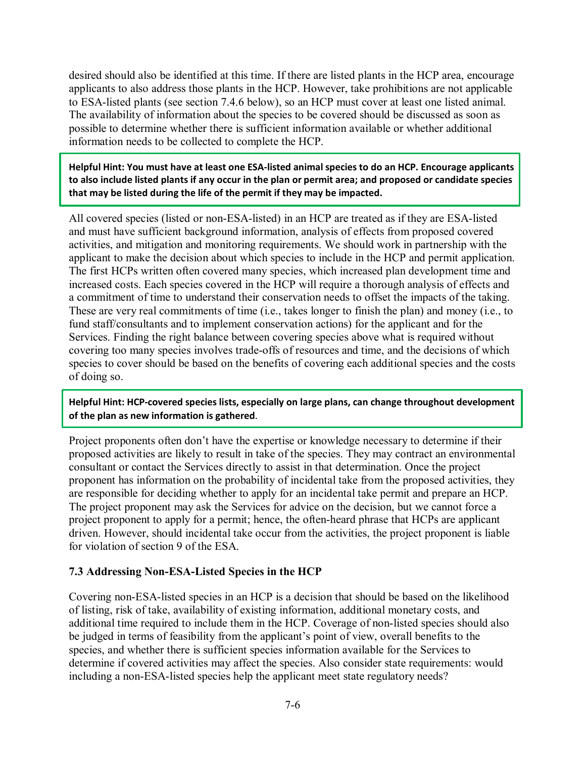desired should also be identified at this time. If there are listed plants in the HCP area, encourage applicants to also address those plants in the HCP. However, take prohibitions are not applicable to ESA-listed plants (see section 7.4.6 below), so an HCP must cover at least one listed animal. The availability of information about the species to be covered should be discussed as soon as possible to determine whether there is sufficient information available or whether additional information needs to be collected to complete the HCP.

**Helpful Hint: You must have at least one ESA-listed animal species to do an HCP. Encourage applicants to also include listed plants if any occur in the plan or permit area; and proposed or candidate species that may be listed during the life of the permit if they may be impacted.**

All covered species (listed or non-ESA-listed) in an HCP are treated as if they are ESA-listed and must have sufficient background information, analysis of effects from proposed covered activities, and mitigation and monitoring requirements. We should work in partnership with the applicant to make the decision about which species to include in the HCP and permit application. The first HCPs written often covered many species, which increased plan development time and increased costs. Each species covered in the HCP will require a thorough analysis of effects and a commitment of time to understand their conservation needs to offset the impacts of the taking. These are very real commitments of time (i.e., takes longer to finish the plan) and money (i.e., to fund staff/consultants and to implement conservation actions) for the applicant and for the Services. Finding the right balance between covering species above what is required without covering too many species involves trade-offs of resources and time, and the decisions of which species to cover should be based on the benefits of covering each additional species and the costs of doing so.

### **Helpful Hint: HCP-covered species lists, especially on large plans, can change throughout development of the plan as new information is gathered**.

Project proponents often don't have the expertise or knowledge necessary to determine if their proposed activities are likely to result in take of the species. They may contract an environmental consultant or contact the Services directly to assist in that determination. Once the project proponent has information on the probability of incidental take from the proposed activities, they are responsible for deciding whether to apply for an incidental take permit and prepare an HCP. The project proponent may ask the Services for advice on the decision, but we cannot force a project proponent to apply for a permit; hence, the often-heard phrase that HCPs are applicant driven. However, should incidental take occur from the activities, the project proponent is liable for violation of section 9 of the ESA.

#### **7.3 Addressing Non-ESA-Listed Species in the HCP**

Covering non-ESA-listed species in an HCP is a decision that should be based on the likelihood of listing, risk of take, availability of existing information, additional monetary costs, and additional time required to include them in the HCP. Coverage of non-listed species should also be judged in terms of feasibility from the applicant's point of view, overall benefits to the species, and whether there is sufficient species information available for the Services to determine if covered activities may affect the species. Also consider state requirements: would including a non-ESA-listed species help the applicant meet state regulatory needs?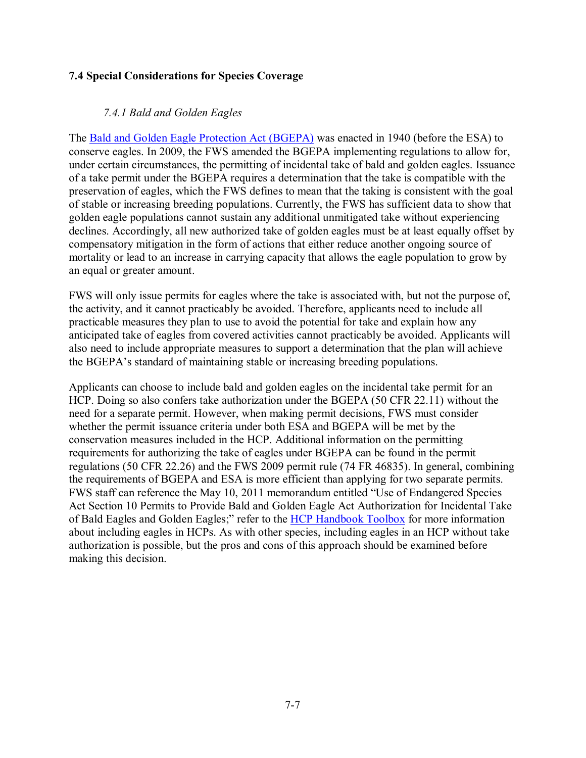### **7.4 Special Considerations for Species Coverage**

## *7.4.1 Bald and Golden Eagles*

The [Bald and Golden Eagle Protection Act \(BGEPA\)](https://www.fws.gov/birds/policies-and-regulations/laws-legislations/bald-and-golden-eagle-protection-act.php) was enacted in 1940 (before the ESA) to conserve eagles. In 2009, the FWS amended the BGEPA implementing regulations to allow for, under certain circumstances, the permitting of incidental take of bald and golden eagles. Issuance of a take permit under the BGEPA requires a determination that the take is compatible with the preservation of eagles, which the FWS defines to mean that the taking is consistent with the goal of stable or increasing breeding populations. Currently, the FWS has sufficient data to show that golden eagle populations cannot sustain any additional unmitigated take without experiencing declines. Accordingly, all new authorized take of golden eagles must be at least equally offset by compensatory mitigation in the form of actions that either reduce another ongoing source of mortality or lead to an increase in carrying capacity that allows the eagle population to grow by an equal or greater amount.

FWS will only issue permits for eagles where the take is associated with, but not the purpose of, the activity, and it cannot practicably be avoided. Therefore, applicants need to include all practicable measures they plan to use to avoid the potential for take and explain how any anticipated take of eagles from covered activities cannot practicably be avoided. Applicants will also need to include appropriate measures to support a determination that the plan will achieve the BGEPA's standard of maintaining stable or increasing breeding populations.

Applicants can choose to include bald and golden eagles on the incidental take permit for an HCP. Doing so also confers take authorization under the BGEPA (50 CFR 22.11) without the need for a separate permit. However, when making permit decisions, FWS must consider whether the permit issuance criteria under both ESA and BGEPA will be met by the conservation measures included in the HCP. Additional information on the permitting requirements for authorizing the take of eagles under BGEPA can be found in the permit regulations (50 CFR 22.26) and the FWS 2009 permit rule (74 FR 46835). In general, combining the requirements of BGEPA and ESA is more efficient than applying for two separate permits. FWS staff can reference the May 10, 2011 memorandum entitled "Use of Endangered Species Act Section 10 Permits to Provide Bald and Golden Eagle Act Authorization for Incidental Take of Bald Eagles and Golden Eagles;" refer to the [HCP Handbook Toolbox](https://www.fws.gov/endangered/what-we-do/hcp-handbook-toolbox.html#Ch7) for more information about including eagles in HCPs. As with other species, including eagles in an HCP without take authorization is possible, but the pros and cons of this approach should be examined before making this decision.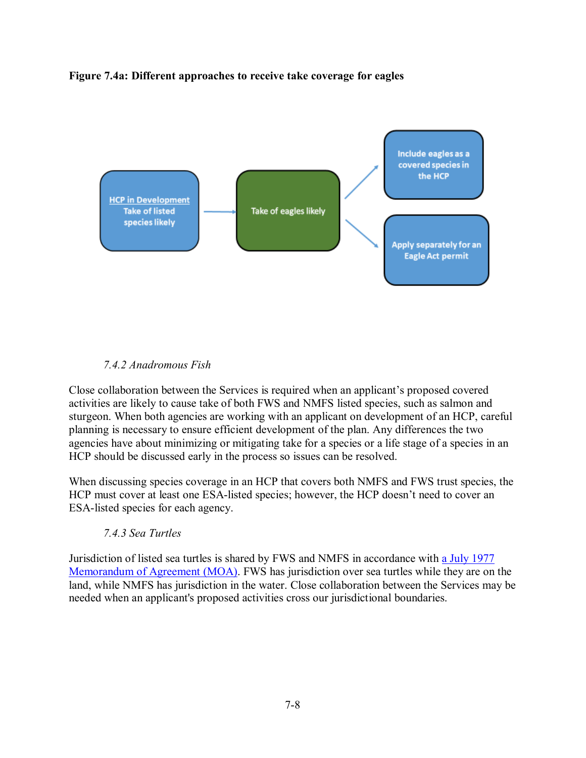### **Figure 7.4a: Different approaches to receive take coverage for eagles**



### *7.4.2 Anadromous Fish*

Close collaboration between the Services is required when an applicant's proposed covered activities are likely to cause take of both FWS and NMFS listed species, such as salmon and sturgeon. When both agencies are working with an applicant on development of an HCP, careful planning is necessary to ensure efficient development of the plan. Any differences the two agencies have about minimizing or mitigating take for a species or a life stage of a species in an HCP should be discussed early in the process so issues can be resolved.

When discussing species coverage in an HCP that covers both NMFS and FWS trust species, the HCP must cover at least one ESA-listed species; however, the HCP doesn't need to cover an ESA-listed species for each agency.

#### *7.4.3 Sea Turtles*

Jurisdiction of listed sea turtles is shared by FWS and NMFS in accordance with [a July 1977](https://www.fisheries.noaa.gov/resource/document/noaa-fisheries-and-us-fws-memorandum-understanding-sea-turtles)  [Memorandum of Agreement \(MOA\).](https://www.fisheries.noaa.gov/resource/document/noaa-fisheries-and-us-fws-memorandum-understanding-sea-turtles) FWS has jurisdiction over sea turtles while they are on the land, while NMFS has jurisdiction in the water. Close collaboration between the Services may be needed when an applicant's proposed activities cross our jurisdictional boundaries.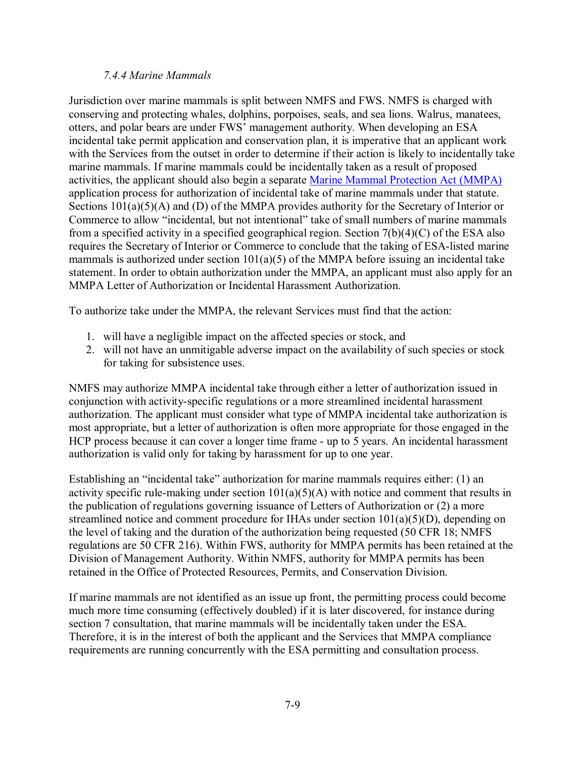#### *7.4.4 Marine Mammals*

Jurisdiction over marine mammals is split between NMFS and FWS. NMFS is charged with conserving and protecting whales, dolphins, porpoises, seals, and sea lions. Walrus, manatees, otters, and polar bears are under FWS' management authority. When developing an ESA incidental take permit application and conservation plan, it is imperative that an applicant work with the Services from the outset in order to determine if their action is likely to incidentally take marine mammals. If marine mammals could be incidentally taken as a result of proposed activities, the applicant should also begin a separate [Marine Mammal Protection Act \(MMPA\)](https://www.fws.gov/international/laws-treaties-agreements/us-conservation-laws/marine-mammal-protection-act.html) application process for authorization of incidental take of marine mammals under that statute. Sections  $101(a)(5)(A)$  and (D) of the MMPA provides authority for the Secretary of Interior or Commerce to allow "incidental, but not intentional" take of small numbers of marine mammals from a specified activity in a specified geographical region. Section 7(b)(4)(C) of the ESA also requires the Secretary of Interior or Commerce to conclude that the taking of ESA-listed marine mammals is authorized under section 101(a)(5) of the MMPA before issuing an incidental take statement. In order to obtain authorization under the MMPA, an applicant must also apply for an MMPA Letter of Authorization or Incidental Harassment Authorization.

To authorize take under the MMPA, the relevant Services must find that the action:

- 1. will have a negligible impact on the affected species or stock, and
- 2. will not have an unmitigable adverse impact on the availability of such species or stock for taking for subsistence uses.

NMFS may authorize MMPA incidental take through either a letter of authorization issued in conjunction with activity-specific regulations or a more streamlined incidental harassment authorization. The applicant must consider what type of MMPA incidental take authorization is most appropriate, but a letter of authorization is often more appropriate for those engaged in the HCP process because it can cover a longer time frame - up to 5 years. An incidental harassment authorization is valid only for taking by harassment for up to one year.

Establishing an "incidental take" authorization for marine mammals requires either: (1) an activity specific rule-making under section  $101(a)(5)(A)$  with notice and comment that results in the publication of regulations governing issuance of Letters of Authorization or (2) a more streamlined notice and comment procedure for IHAs under section 101(a)(5)(D), depending on the level of taking and the duration of the authorization being requested (50 CFR 18; NMFS regulations are 50 CFR 216). Within FWS, authority for MMPA permits has been retained at the Division of Management Authority. Within NMFS, authority for MMPA permits has been retained in the Office of Protected Resources, Permits, and Conservation Division.

If marine mammals are not identified as an issue up front, the permitting process could become much more time consuming (effectively doubled) if it is later discovered, for instance during section 7 consultation, that marine mammals will be incidentally taken under the ESA. Therefore, it is in the interest of both the applicant and the Services that MMPA compliance requirements are running concurrently with the ESA permitting and consultation process.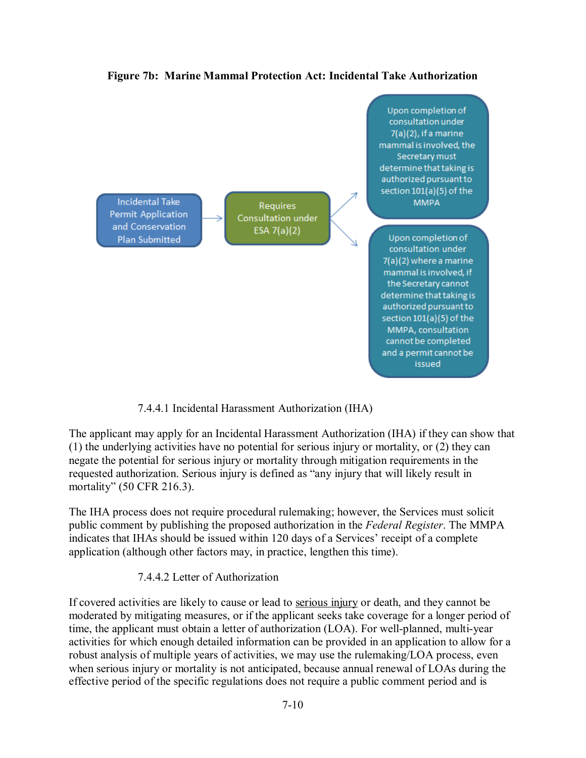

**Figure 7b: Marine Mammal Protection Act: Incidental Take Authorization**

7.4.4.1 Incidental Harassment Authorization (IHA)

The applicant may apply for an Incidental Harassment Authorization (IHA) if they can show that (1) the underlying activities have no potential for serious injury or mortality, or (2) they can negate the potential for serious injury or mortality through mitigation requirements in the requested authorization. Serious injury is defined as "any injury that will likely result in mortality" (50 CFR 216.3).

The IHA process does not require procedural rulemaking; however, the Services must solicit public comment by publishing the proposed authorization in the *Federal Register*. The MMPA indicates that IHAs should be issued within 120 days of a Services' receipt of a complete application (although other factors may, in practice, lengthen this time).

7.4.4.2 Letter of Authorization

If covered activities are likely to cause or lead t[o](http://www.nmfs.noaa.gov/pr/glossary.htm#serious) [serious injury](http://www.nmfs.noaa.gov/pr/glossary.htm#serious) or death, and they cannot be moderated by mitigating measures, or if the applicant seeks take coverage for a longer period of time, the applicant must obtain a letter of authorization (LOA). For well-planned, multi-year activities for which enough detailed information can be provided in an application to allow for a robust analysis of multiple years of activities, we may use the rulemaking/LOA process, even when serious injury or mortality is not anticipated, because annual renewal of LOAs during the effective period of the specific regulations does not require a public comment period and is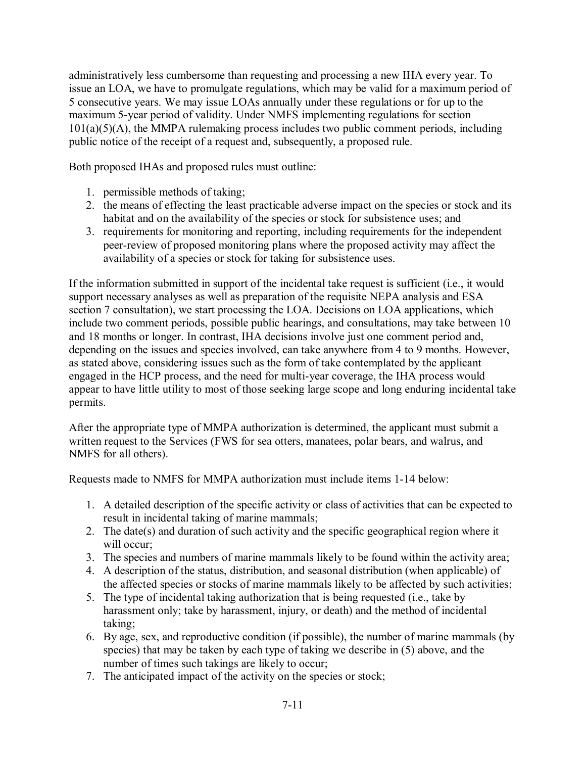administratively less cumbersome than requesting and processing a new IHA every year. To issue an LOA, we have to promulgate regulations, which may be valid for a maximum period of 5 consecutive years. We may issue LOAs annually under these regulations or for up to the maximum 5-year period of validity. Under NMFS implementing regulations for section  $101(a)(5)(A)$ , the MMPA rulemaking process includes two public comment periods, including public notice of the receipt of a request and, subsequently, a proposed rule.

Both proposed IHAs and proposed rules must outline:

- 1. permissible methods of taking;
- 2. the means of effecting the least practicable adverse impact on the species or stock and its habitat and on the availability of the species or stock for subsistence uses; and
- 3. requirements for monitoring and reporting, including requirements for the independent peer-review of proposed monitoring plans where the proposed activity may affect the availability of a species or stock for taking for subsistence uses.

If the information submitted in support of the incidental take request is sufficient (i.e., it would support necessary analyses as well as preparation of the requisite NEPA analysis and ESA section 7 consultation), we start processing the LOA. Decisions on LOA applications, which include two comment periods, possible public hearings, and consultations, may take between 10 and 18 months or longer. In contrast, IHA decisions involve just one comment period and, depending on the issues and species involved, can take anywhere from 4 to 9 months. However, as stated above, considering issues such as the form of take contemplated by the applicant engaged in the HCP process, and the need for multi-year coverage, the IHA process would appear to have little utility to most of those seeking large scope and long enduring incidental take permits.

After the appropriate type of MMPA authorization is determined, the applicant must submit a written request to the Services (FWS for sea otters, manatees, polar bears, and walrus, and NMFS for all others).

Requests made to NMFS for MMPA authorization must include items 1-14 below:

- 1. A detailed description of the specific activity or class of activities that can be expected to result in incidental taking of marine mammals;
- 2. The date(s) and duration of such activity and the specific geographical region where it will occur;
- 3. The species and numbers of marine mammals likely to be found within the activity area;
- 4. A description of the status, distribution, and seasonal distribution (when applicable) of the affected species or stocks of marine mammals likely to be affected by such activities;
- 5. The type of incidental taking authorization that is being requested (i.e., take by harassment only; take by harassment, injury, or death) and the method of incidental taking;
- 6. By age, sex, and reproductive condition (if possible), the number of marine mammals (by species) that may be taken by each type of taking we describe in (5) above, and the number of times such takings are likely to occur;
- 7. The anticipated impact of the activity on the species or stock;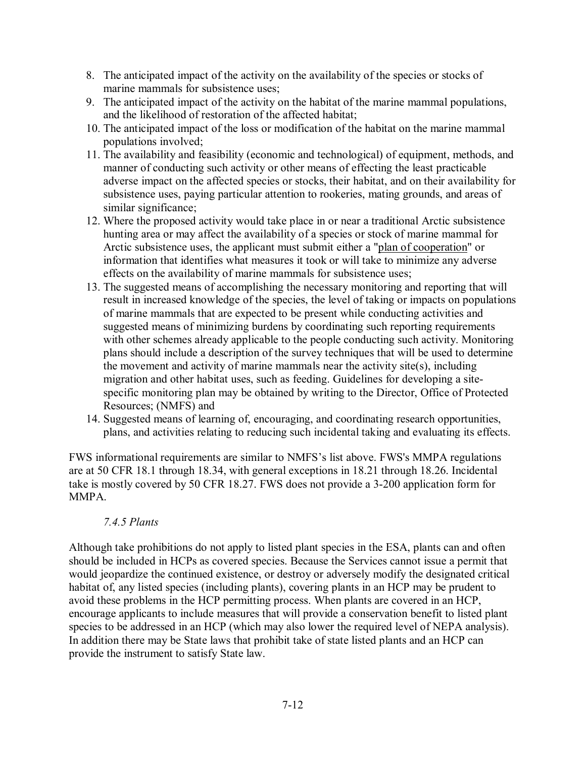- 8. The anticipated impact of the activity on the availability of the species or stocks of marine mammals for subsistence uses;
- 9. The anticipated impact of the activity on the habitat of the marine mammal populations, and the likelihood of restoration of the affected habitat;
- 10. The anticipated impact of the loss or modification of the habitat on the marine mammal populations involved;
- 11. The availability and feasibility (economic and technological) of equipment, methods, and manner of conducting such activity or other means of effecting the least practicable adverse impact on the affected species or stocks, their habitat, and on their availability for subsistence uses, paying particular attention to rookeries, mating grounds, and areas of similar significance;
- 12. Where the proposed activity would take place in or near a traditional Arctic subsistence hunting area or may affect the availability of a species or stock of marine mammal for Arctic subsistence uses, the applicant must submit either a ["plan of cooperation"](http://www.nmfs.noaa.gov/pr/glossary.htm#plan) or information that identifies what measures it took or will take to minimize any adverse effects on the availability of marine mammals for subsistence uses;
- 13. The suggested means of accomplishing the necessary monitoring and reporting that will result in increased knowledge of the species, the level of taking or impacts on populations of marine mammals that are expected to be present while conducting activities and suggested means of minimizing burdens by coordinating such reporting requirements with other schemes already applicable to the people conducting such activity. Monitoring plans should include a description of the survey techniques that will be used to determine the movement and activity of marine mammals near the activity site(s), including migration and other habitat uses, such as feeding. Guidelines for developing a sitespecific monitoring plan may be obtained by writing to the Director, Office of Protected Resources; (NMFS) and
- 14. Suggested means of learning of, encouraging, and coordinating research opportunities, plans, and activities relating to reducing such incidental taking and evaluating its effects.

FWS informational requirements are similar to NMFS's list above. FWS's MMPA regulations are at 50 CFR 18.1 through 18.34, with general exceptions in 18.21 through 18.26. Incidental take is mostly covered by 50 CFR 18.27. FWS does not provide a 3-200 application form for MMPA.

### *7.4.5 Plants*

Although take prohibitions do not apply to listed plant species in the ESA, plants can and often should be included in HCPs as covered species. Because the Services cannot issue a permit that would jeopardize the continued existence, or destroy or adversely modify the designated critical habitat of, any listed species (including plants), covering plants in an HCP may be prudent to avoid these problems in the HCP permitting process. When plants are covered in an HCP, encourage applicants to include measures that will provide a conservation benefit to listed plant species to be addressed in an HCP (which may also lower the required level of NEPA analysis). In addition there may be State laws that prohibit take of state listed plants and an HCP can provide the instrument to satisfy State law.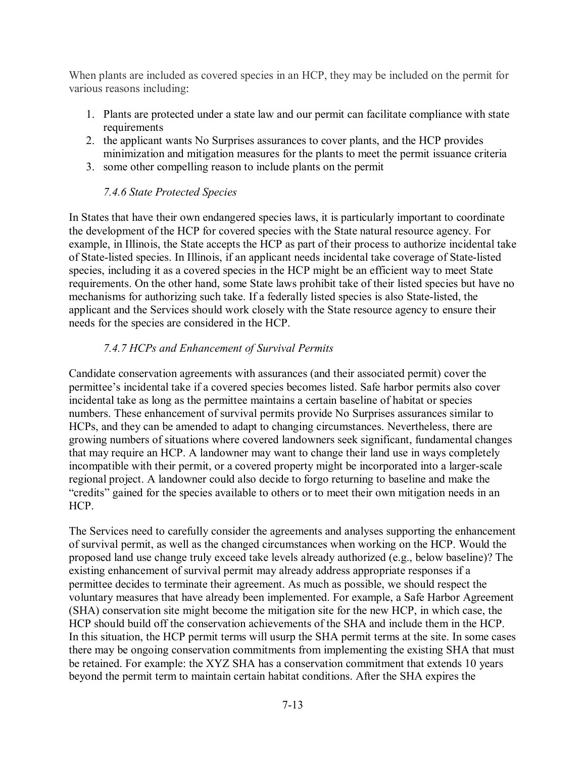When plants are included as covered species in an HCP, they may be included on the permit for various reasons including:

- 1. Plants are protected under a state law and our permit can facilitate compliance with state requirements
- 2. the applicant wants No Surprises assurances to cover plants, and the HCP provides minimization and mitigation measures for the plants to meet the permit issuance criteria
- 3. some other compelling reason to include plants on the permit

## *7.4.6 State Protected Species*

In States that have their own endangered species laws, it is particularly important to coordinate the development of the HCP for covered species with the State natural resource agency. For example, in Illinois, the State accepts the HCP as part of their process to authorize incidental take of State-listed species. In Illinois, if an applicant needs incidental take coverage of State-listed species, including it as a covered species in the HCP might be an efficient way to meet State requirements. On the other hand, some State laws prohibit take of their listed species but have no mechanisms for authorizing such take. If a federally listed species is also State-listed, the applicant and the Services should work closely with the State resource agency to ensure their needs for the species are considered in the HCP.

## *7.4.7 HCPs and Enhancement of Survival Permits*

Candidate conservation agreements with assurances (and their associated permit) cover the permittee's incidental take if a covered species becomes listed. Safe harbor permits also cover incidental take as long as the permittee maintains a certain baseline of habitat or species numbers. These enhancement of survival permits provide No Surprises assurances similar to HCPs, and they can be amended to adapt to changing circumstances. Nevertheless, there are growing numbers of situations where covered landowners seek significant, fundamental changes that may require an HCP. A landowner may want to change their land use in ways completely incompatible with their permit, or a covered property might be incorporated into a larger-scale regional project. A landowner could also decide to forgo returning to baseline and make the "credits" gained for the species available to others or to meet their own mitigation needs in an HCP.

The Services need to carefully consider the agreements and analyses supporting the enhancement of survival permit, as well as the changed circumstances when working on the HCP. Would the proposed land use change truly exceed take levels already authorized (e.g., below baseline)? The existing enhancement of survival permit may already address appropriate responses if a permittee decides to terminate their agreement. As much as possible, we should respect the voluntary measures that have already been implemented. For example, a Safe Harbor Agreement (SHA) conservation site might become the mitigation site for the new HCP, in which case, the HCP should build off the conservation achievements of the SHA and include them in the HCP. In this situation, the HCP permit terms will usurp the SHA permit terms at the site. In some cases there may be ongoing conservation commitments from implementing the existing SHA that must be retained. For example: the XYZ SHA has a conservation commitment that extends 10 years beyond the permit term to maintain certain habitat conditions. After the SHA expires the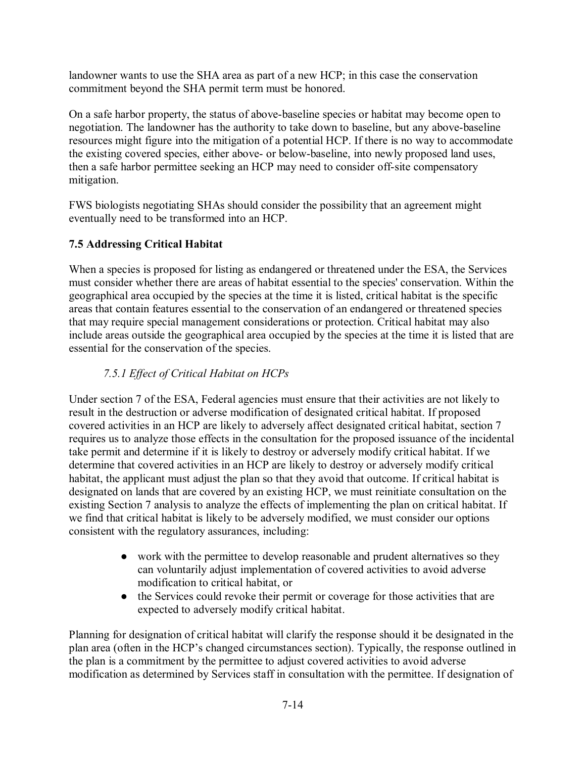landowner wants to use the SHA area as part of a new HCP; in this case the conservation commitment beyond the SHA permit term must be honored.

On a safe harbor property, the status of above-baseline species or habitat may become open to negotiation. The landowner has the authority to take down to baseline, but any above-baseline resources might figure into the mitigation of a potential HCP. If there is no way to accommodate the existing covered species, either above- or below-baseline, into newly proposed land uses, then a safe harbor permittee seeking an HCP may need to consider off-site compensatory mitigation.

FWS biologists negotiating SHAs should consider the possibility that an agreement might eventually need to be transformed into an HCP.

# **7.5 Addressing Critical Habitat**

When a species is proposed for listing as endangered or threatened under the ESA, the Services must consider whether there are areas of habitat essential to the species' conservation. Within the geographical area occupied by the species at the time it is listed, critical habitat is the specific areas that contain features essential to the conservation of an endangered or threatened species that may require special management considerations or protection. Critical habitat may also include areas outside the geographical area occupied by the species at the time it is listed that are essential for the conservation of the species.

# *7.5.1 Effect of Critical Habitat on HCPs*

Under section 7 of the ESA, Federal agencies must ensure that their activities are not likely to result in the destruction or adverse modification of designated critical habitat. If proposed covered activities in an HCP are likely to adversely affect designated critical habitat, section 7 requires us to analyze those effects in the consultation for the proposed issuance of the incidental take permit and determine if it is likely to destroy or adversely modify critical habitat. If we determine that covered activities in an HCP are likely to destroy or adversely modify critical habitat, the applicant must adjust the plan so that they avoid that outcome. If critical habitat is designated on lands that are covered by an existing HCP, we must reinitiate consultation on the existing Section 7 analysis to analyze the effects of implementing the plan on critical habitat. If we find that critical habitat is likely to be adversely modified, we must consider our options consistent with the regulatory assurances, including:

- work with the permittee to develop reasonable and prudent alternatives so they can voluntarily adjust implementation of covered activities to avoid adverse modification to critical habitat, or
- the Services could revoke their permit or coverage for those activities that are expected to adversely modify critical habitat.

Planning for designation of critical habitat will clarify the response should it be designated in the plan area (often in the HCP's changed circumstances section). Typically, the response outlined in the plan is a commitment by the permittee to adjust covered activities to avoid adverse modification as determined by Services staff in consultation with the permittee. If designation of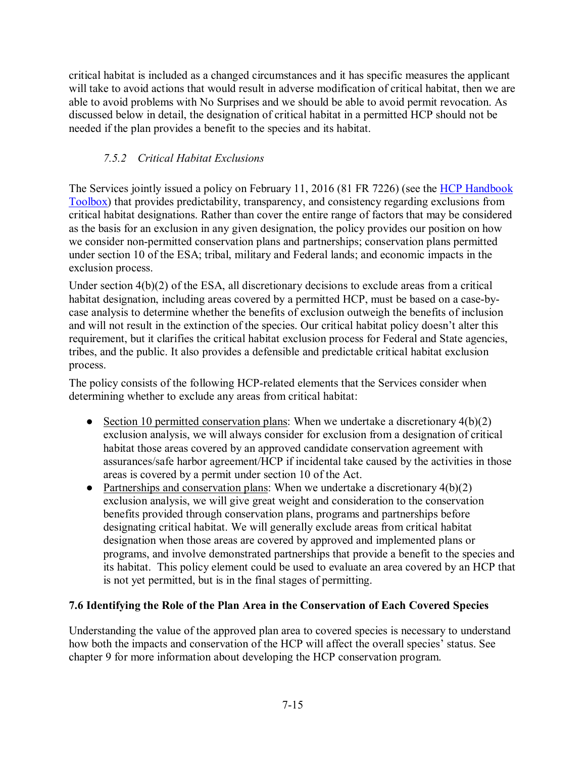critical habitat is included as a changed circumstances and it has specific measures the applicant will take to avoid actions that would result in adverse modification of critical habitat, then we are able to avoid problems with No Surprises and we should be able to avoid permit revocation. As discussed below in detail, the designation of critical habitat in a permitted HCP should not be needed if the plan provides a benefit to the species and its habitat.

# *7.5.2 Critical Habitat Exclusions*

The Services jointly issued a policy on February 11, 2016 (81 FR 7226) (see the HCP Handbook [Toolbox\)](https://www.fws.gov/endangered/what-we-do/hcp-handbook-toolbox.html#Ch7) that provides predictability, transparency, and consistency regarding exclusions from critical habitat designations. Rather than cover the entire range of factors that may be considered as the basis for an exclusion in any given designation, the policy provides our position on how we consider non-permitted conservation plans and partnerships; conservation plans permitted under section 10 of the ESA; tribal, military and Federal lands; and economic impacts in the exclusion process.

Under section 4(b)(2) of the ESA, all discretionary decisions to exclude areas from a critical habitat designation, including areas covered by a permitted HCP, must be based on a case-bycase analysis to determine whether the benefits of exclusion outweigh the benefits of inclusion and will not result in the extinction of the species. Our critical habitat policy doesn't alter this requirement, but it clarifies the critical habitat exclusion process for Federal and State agencies, tribes, and the public. It also provides a defensible and predictable critical habitat exclusion process.

The policy consists of the following HCP-related elements that the Services consider when determining whether to exclude any areas from critical habitat:

- Section 10 permitted conservation plans: When we undertake a discretionary  $4(b)(2)$ exclusion analysis, we will always consider for exclusion from a designation of critical habitat those areas covered by an approved candidate conservation agreement with assurances/safe harbor agreement/HCP if incidental take caused by the activities in those areas is covered by a permit under section 10 of the Act.
- Partnerships and conservation plans: When we undertake a discretionary  $4(b)(2)$ exclusion analysis, we will give great weight and consideration to the conservation benefits provided through conservation plans, programs and partnerships before designating critical habitat. We will generally exclude areas from critical habitat designation when those areas are covered by approved and implemented plans or programs, and involve demonstrated partnerships that provide a benefit to the species and its habitat. This policy element could be used to evaluate an area covered by an HCP that is not yet permitted, but is in the final stages of permitting.

## **7.6 Identifying the Role of the Plan Area in the Conservation of Each Covered Species**

Understanding the value of the approved plan area to covered species is necessary to understand how both the impacts and conservation of the HCP will affect the overall species' status. See chapter 9 for more information about developing the HCP conservation program.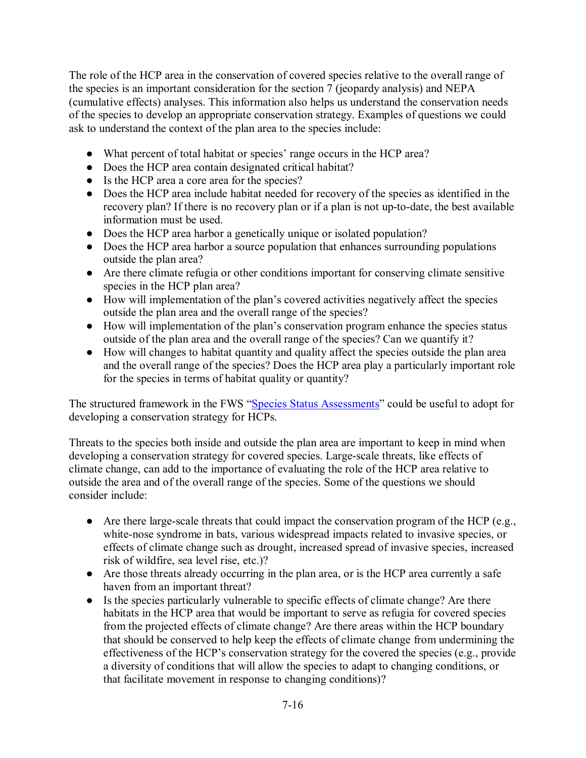The role of the HCP area in the conservation of covered species relative to the overall range of the species is an important consideration for the section 7 (jeopardy analysis) and NEPA (cumulative effects) analyses. This information also helps us understand the conservation needs of the species to develop an appropriate conservation strategy. Examples of questions we could ask to understand the context of the plan area to the species include:

- What percent of total habitat or species' range occurs in the HCP area?
- Does the HCP area contain designated critical habitat?
- Is the HCP area a core area for the species?
- Does the HCP area include habitat needed for recovery of the species as identified in the recovery plan? If there is no recovery plan or if a plan is not up-to-date, the best available information must be used.
- Does the HCP area harbor a genetically unique or isolated population?
- Does the HCP area harbor a source population that enhances surrounding populations outside the plan area?
- Are there climate refugia or other conditions important for conserving climate sensitive species in the HCP plan area?
- How will implementation of the plan's covered activities negatively affect the species outside the plan area and the overall range of the species?
- How will implementation of the plan's conservation program enhance the species status outside of the plan area and the overall range of the species? Can we quantify it?
- How will changes to habitat quantity and quality affect the species outside the plan area and the overall range of the species? Does the HCP area play a particularly important role for the species in terms of habitat quality or quantity?

The structured framework in the FWS ["Species Status Assessments"](https://www.fws.gov/endangered/improving_ESA/ssa.html) could be useful to adopt for developing a conservation strategy for HCPs.

Threats to the species both inside and outside the plan area are important to keep in mind when developing a conservation strategy for covered species. Large-scale threats, like effects of climate change, can add to the importance of evaluating the role of the HCP area relative to outside the area and of the overall range of the species. Some of the questions we should consider include:

- Are there large-scale threats that could impact the conservation program of the HCP (e.g., white-nose syndrome in bats, various widespread impacts related to invasive species, or effects of climate change such as drought, increased spread of invasive species, increased risk of wildfire, sea level rise, etc.)?
- Are those threats already occurring in the plan area, or is the HCP area currently a safe haven from an important threat?
- Is the species particularly vulnerable to specific effects of climate change? Are there habitats in the HCP area that would be important to serve as refugia for covered species from the projected effects of climate change? Are there areas within the HCP boundary that should be conserved to help keep the effects of climate change from undermining the effectiveness of the HCP's conservation strategy for the covered the species (e.g., provide a diversity of conditions that will allow the species to adapt to changing conditions, or that facilitate movement in response to changing conditions)?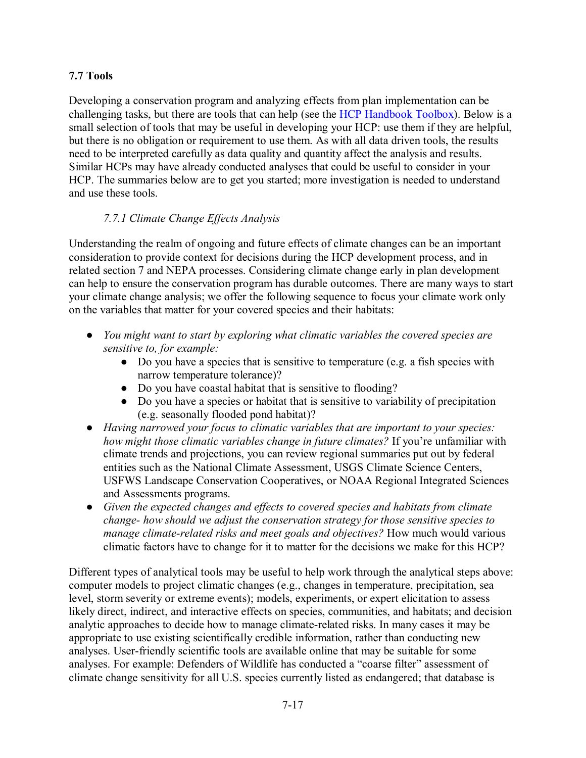## **7.7 Tools**

Developing a conservation program and analyzing effects from plan implementation can be challenging tasks, but there are tools that can help (see the [HCP Handbook Toolbox\)](https://www.fws.gov/endangered/what-we-do/hcp-handbook-toolbox.html#Ch9). Below is a small selection of tools that may be useful in developing your HCP: use them if they are helpful, but there is no obligation or requirement to use them. As with all data driven tools, the results need to be interpreted carefully as data quality and quantity affect the analysis and results. Similar HCPs may have already conducted analyses that could be useful to consider in your HCP. The summaries below are to get you started; more investigation is needed to understand and use these tools.

## *7.7.1 Climate Change Effects Analysis*

Understanding the realm of ongoing and future effects of climate changes can be an important consideration to provide context for decisions during the HCP development process, and in related section 7 and NEPA processes. Considering climate change early in plan development can help to ensure the conservation program has durable outcomes. There are many ways to start your climate change analysis; we offer the following sequence to focus your climate work only on the variables that matter for your covered species and their habitats:

- *You might want to start by exploring what climatic variables the covered species are sensitive to, for example:*
	- Do you have a species that is sensitive to temperature (e.g. a fish species with narrow temperature tolerance)?
	- Do you have coastal habitat that is sensitive to flooding?
	- Do you have a species or habitat that is sensitive to variability of precipitation (e.g. seasonally flooded pond habitat)?
- *Having narrowed your focus to climatic variables that are important to your species: how might those climatic variables change in future climates?* If you're unfamiliar with climate trends and projections, you can review regional summaries put out by federal entities such as the National Climate Assessment, USGS Climate Science Centers, USFWS Landscape Conservation Cooperatives, or NOAA Regional Integrated Sciences and Assessments programs.
- *Given the expected changes and effects to covered species and habitats from climate change- how should we adjust the conservation strategy for those sensitive species to manage climate-related risks and meet goals and objectives?* How much would various climatic factors have to change for it to matter for the decisions we make for this HCP?

Different types of analytical tools may be useful to help work through the analytical steps above: computer models to project climatic changes (e.g., changes in temperature, precipitation, sea level, storm severity or extreme events); models, experiments, or expert elicitation to assess likely direct, indirect, and interactive effects on species, communities, and habitats; and decision analytic approaches to decide how to manage climate-related risks. In many cases it may be appropriate to use existing scientifically credible information, rather than conducting new analyses. User-friendly scientific tools are available online that may be suitable for some analyses. For example: Defenders of Wildlife has conducted a "coarse filter" assessment of climate change sensitivity for all U.S. species currently listed as endangered; that database is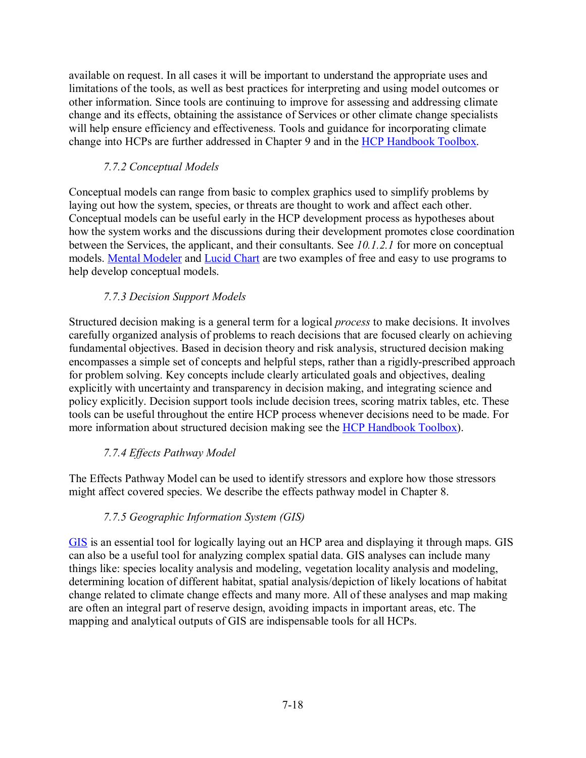available on request. In all cases it will be important to understand the appropriate uses and limitations of the tools, as well as best practices for interpreting and using model outcomes or other information. Since tools are continuing to improve for assessing and addressing climate change and its effects, obtaining the assistance of Services or other climate change specialists will help ensure efficiency and effectiveness. Tools and guidance for incorporating climate change into HCPs are further addressed in Chapter 9 and in the [HCP Handbook Toolbox.](https://www.fws.gov/endangered/what-we-do/hcp-handbook-toolbox.html#Ch9)

## *7.7.2 Conceptual Models*

Conceptual models can range from basic to complex graphics used to simplify problems by laying out how the system, species, or threats are thought to work and affect each other. Conceptual models can be useful early in the HCP development process as hypotheses about how the system works and the discussions during their development promotes close coordination between the Services, the applicant, and their consultants. See *10.1.2.1* for more on conceptual models. [Mental Modeler](http://www.mentalmodeler.org/) and [Lucid Chart](https://www.lucidchart.com/) are two examples of free and easy to use programs to help develop conceptual models.

# *7.7.3 Decision Support Models*

Structured decision making is a general term for a logical *process* to make decisions. It involves carefully organized analysis of problems to reach decisions that are focused clearly on achieving fundamental objectives. Based in decision theory and risk analysis, structured decision making encompasses a simple set of concepts and helpful steps, rather than a rigidly-prescribed approach for problem solving. Key concepts include clearly articulated goals and objectives, dealing explicitly with uncertainty and transparency in decision making, and integrating science and policy explicitly. Decision support tools include decision trees, scoring matrix tables, etc. These tools can be useful throughout the entire HCP process whenever decisions need to be made. For more information about structured decision making see the [HCP Handbook Toolbox\)](https://www.fws.gov/endangered/what-we-do/hcp-handbook-toolbox.html#Ch7).

## *7.7.4 Effects Pathway Model*

The Effects Pathway Model can be used to identify stressors and explore how those stressors might affect covered species. We describe the effects pathway model in Chapter 8.

# *7.7.5 Geographic Information System (GIS)*

[GIS](http://www.esri.com/what-is-gis) is an essential tool for logically laying out an HCP area and displaying it through maps. GIS can also be a useful tool for analyzing complex spatial data. GIS analyses can include many things like: species locality analysis and modeling, vegetation locality analysis and modeling, determining location of different habitat, spatial analysis/depiction of likely locations of habitat change related to climate change effects and many more. All of these analyses and map making are often an integral part of reserve design, avoiding impacts in important areas, etc. The mapping and analytical outputs of GIS are indispensable tools for all HCPs.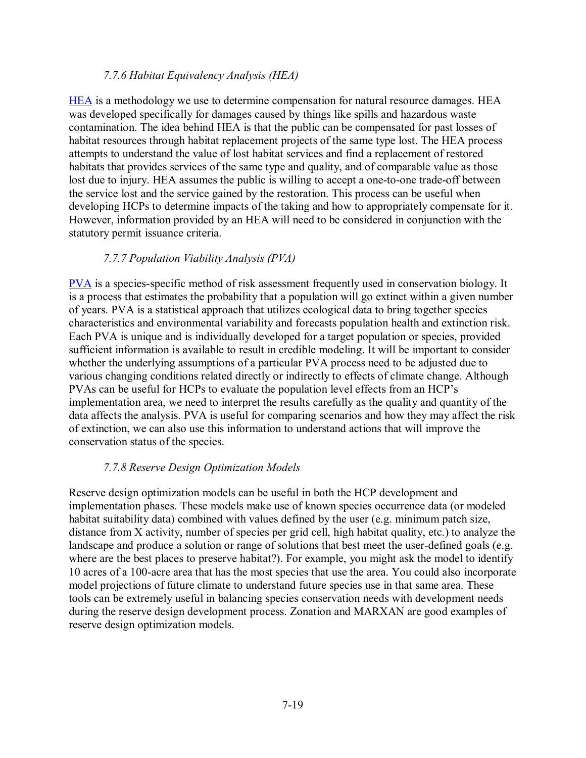#### *7.7.6 Habitat Equivalency Analysis (HEA)*

[HEA](https://www.fws.gov/newengland/pdfs/HEA81012.pdf) is a methodology we use to determine compensation for natural resource damages. HEA was developed specifically for damages caused by things like spills and hazardous waste contamination. The idea behind HEA is that the public can be compensated for past losses of habitat resources through habitat replacement projects of the same type lost. The HEA process attempts to understand the value of lost habitat services and find a replacement of restored habitats that provides services of the same type and quality, and of comparable value as those lost due to injury. HEA assumes the public is willing to accept a one-to-one trade-off between the service lost and the service gained by the restoration. This process can be useful when developing HCPs to determine impacts of the taking and how to appropriately compensate for it. However, information provided by an HEA will need to be considered in conjunction with the statutory permit issuance criteria.

#### *7.7.7 Population Viability Analysis (PVA)*

[PVA](https://training.fws.gov/courses/csp/csp3116/resources/Scientific_References/TNC_Morris_etal_1999.pdf) is a species-specific method of risk assessment frequently used in conservation biology. It is a process that estimates the probability that a population will go extinct within a given number of years. PVA is a statistical approach that utilizes ecological data to bring together species characteristics and environmental variability and forecasts population health and extinction risk. Each PVA is unique and is individually developed for a target population or species, provided sufficient information is available to result in credible modeling. It will be important to consider whether the underlying assumptions of a particular PVA process need to be adjusted due to various changing conditions related directly or indirectly to effects of climate change. Although PVAs can be useful for HCPs to evaluate the population level effects from an HCP's implementation area, we need to interpret the results carefully as the quality and quantity of the data affects the analysis. PVA is useful for comparing scenarios and how they may affect the risk of extinction, we can also use this information to understand actions that will improve the conservation status of the species.

#### *7.7.8 Reserve Design Optimization Models*

Reserve design optimization models can be useful in both the HCP development and implementation phases. These models make use of known species occurrence data (or modeled habitat suitability data) combined with values defined by the user (e.g. minimum patch size, distance from X activity, number of species per grid cell, high habitat quality, etc.) to analyze the landscape and produce a solution or range of solutions that best meet the user-defined goals (e.g. where are the best places to preserve habitat?). For example, you might ask the model to identify 10 acres of a 100-acre area that has the most species that use the area. You could also incorporate model projections of future climate to understand future species use in that same area. These tools can be extremely useful in balancing species conservation needs with development needs during the reserve design development process. Zonation and MARXAN are good examples of reserve design optimization models.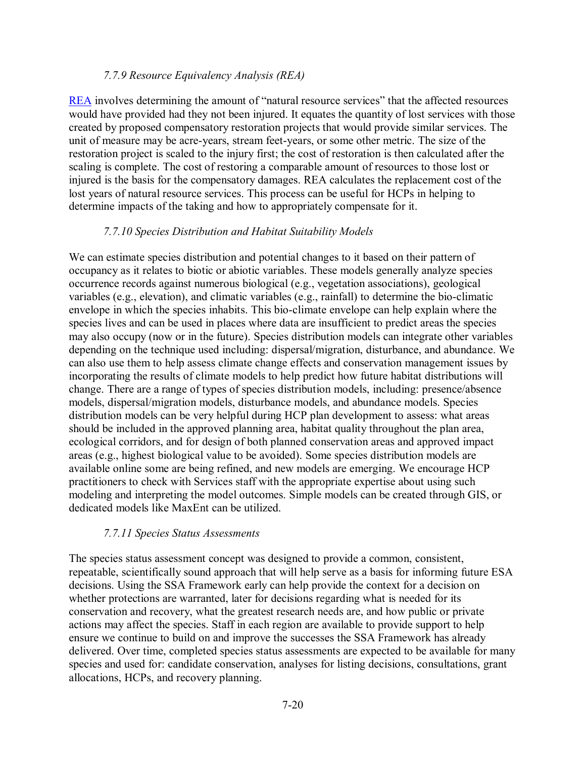#### *7.7.9 Resource Equivalency Analysis (REA)*

[REA](https://www.fws.gov/ecological-services/es-library/pdfs/Technical_Note_on_Avoided_Loss.pdf) involves determining the amount of "natural resource services" that the affected resources would have provided had they not been injured. It equates the quantity of lost services with those created by proposed compensatory restoration projects that would provide similar services. The unit of measure may be acre-years, stream feet-years, or some other metric. The size of the restoration project is scaled to the injury first; the cost of restoration is then calculated after the scaling is complete. The cost of restoring a comparable amount of resources to those lost or injured is the basis for the compensatory damages. REA calculates the replacement cost of the lost years of natural resource services. This process can be useful for HCPs in helping to determine impacts of the taking and how to appropriately compensate for it.

### *7.7.10 Species Distribution and Habitat Suitability Models*

We can estimate species distribution and potential changes to it based on their pattern of occupancy as it relates to biotic or abiotic variables. These models generally analyze species occurrence records against numerous biological (e.g., vegetation associations), geological variables (e.g., elevation), and climatic variables (e.g., rainfall) to determine the bio-climatic envelope in which the species inhabits. This bio-climate envelope can help explain where the species lives and can be used in places where data are insufficient to predict areas the species may also occupy (now or in the future). Species distribution models can integrate other variables depending on the technique used including: dispersal/migration, disturbance, and abundance. We can also use them to help assess climate change effects and conservation management issues by incorporating the results of climate models to help predict how future habitat distributions will change. There are a range of types of species distribution models, including: presence/absence models, dispersal/migration models, disturbance models, and abundance models. Species distribution models can be very helpful during HCP plan development to assess: what areas should be included in the approved planning area, habitat quality throughout the plan area, ecological corridors, and for design of both planned conservation areas and approved impact areas (e.g., highest biological value to be avoided). Some species distribution models are available online some are being refined, and new models are emerging. We encourage HCP practitioners to check with Services staff with the appropriate expertise about using such modeling and interpreting the model outcomes. Simple models can be created through GIS, or dedicated models like MaxEnt can be utilized.

#### *7.7.11 Species Status Assessments*

The species status assessment concept was designed to provide a common, consistent, repeatable, scientifically sound approach that will help serve as a basis for informing future ESA decisions. Using the SSA Framework early can help provide the context for a decision on whether protections are warranted, later for decisions regarding what is needed for its conservation and recovery, what the greatest research needs are, and how public or private actions may affect the species. Staff in each region are available to provide support to help ensure we continue to build on and improve the successes the SSA Framework has already delivered. Over time, completed species status assessments are expected to be available for many species and used for: candidate conservation, analyses for listing decisions, consultations, grant allocations, HCPs, and recovery planning.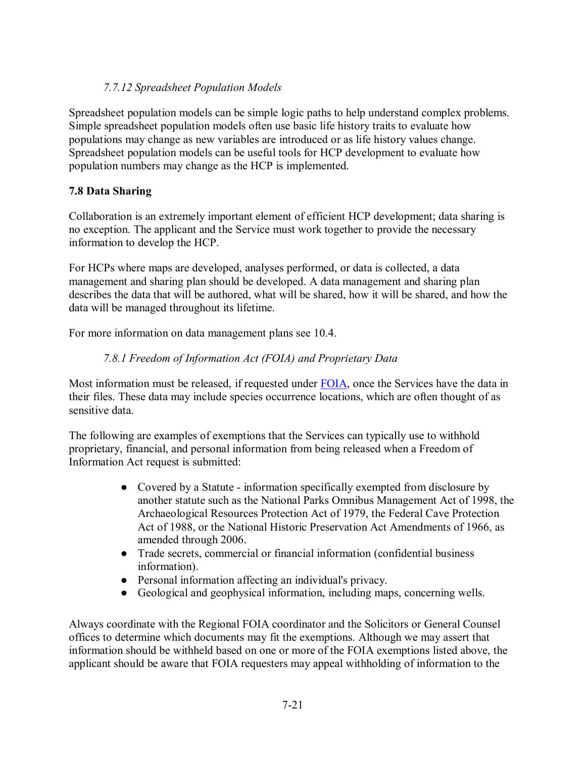## *7.7.12 Spreadsheet Population Models*

Spreadsheet population models can be simple logic paths to help understand complex problems. Simple spreadsheet population models often use basic life history traits to evaluate how populations may change as new variables are introduced or as life history values change. Spreadsheet population models can be useful tools for HCP development to evaluate how population numbers may change as the HCP is implemented.

## **7.8 Data Sharing**

Collaboration is an extremely important element of efficient HCP development; data sharing is no exception. The applicant and the Service must work together to provide the necessary information to develop the HCP.

For HCPs where maps are developed, analyses performed, or data is collected, a data management and sharing plan should be developed. A data management and sharing plan describes the data that will be authored, what will be shared, how it will be shared, and how the data will be managed throughout its lifetime.

For more information on data management plans see 10.4.

# *7.8.1 Freedom of Information Act (FOIA) and Proprietary Data*

Most information must be released, if requested under [FOIA,](https://www.fws.gov/irm/bpim/foia.html) once the Services have the data in their files. These data may include species occurrence locations, which are often thought of as sensitive data.

The following are examples of exemptions that the Services can typically use to withhold proprietary, financial, and personal information from being released when a Freedom of Information Act request is submitted:

- Covered by a Statute information specifically exempted from disclosure by another statute such as the National Parks Omnibus Management Act of 1998, the Archaeological Resources Protection Act of 1979, the Federal Cave Protection Act of 1988, or the National Historic Preservation Act Amendments of 1966, as amended through 2006.
- Trade secrets, commercial or financial information (confidential business information).
- Personal information affecting an individual's privacy.
- Geological and geophysical information, including maps, concerning wells.

Always coordinate with the Regional FOIA coordinator and the Solicitors or General Counsel offices to determine which documents may fit the exemptions. Although we may assert that information should be withheld based on one or more of the FOIA exemptions listed above, the applicant should be aware that FOIA requesters may appeal withholding of information to the